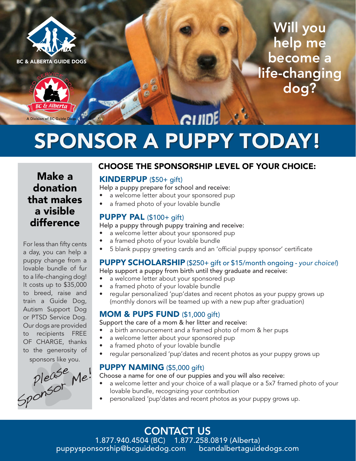



Will you help me become a life-changing dog?

# A Division of BC Guide Dogs SPONSOR A PUPPY TODAY!

Make a donation that makes a visible difference

For less than fifty cents a day, you can help a puppy change from a lovable bundle of fur to a life-changing dog! It costs up to \$35,000 to breed, raise and train a Guide Dog, Autism Support Dog or PTSD Service Dog. Our dogs are provided to recipients FREE OF CHARGE, thanks to the generosity of sponsors like you.

please Me!<br>Sponsor Me!

# CHOOSE THE SPONSORSHIP LEVEL OF YOUR CHOICE:

#### KINDERPUP (\$50+ gift)

 $\frac{\partial}{\partial \theta}$ 

Help a puppy prepare for school and receive:

- a welcome letter about your sponsored pup
- a framed photo of your lovable bundle

#### PUPPY PAL (\$100+ gift)

Help a puppy through puppy training and receive:

- a welcome letter about your sponsored pup
- a framed photo of your lovable bundle
- 5 blank puppy greeting cards and an 'official puppy sponsor' certificate

## PUPPY SCHOLARSHIP (\$250+ gift or \$15/month ongoing - *your choice!*)

Help support a puppy from birth until they graduate and receive:

- a welcome letter about your sponsored pup
- a framed photo of your lovable bundle
- regular personalized 'pup'dates and recent photos as your puppy grows up (monthly donors will be teamed up with a new pup after graduation)

#### MOM & PUPS FUND (\$1,000 gift)

Support the care of a mom & her litter and receive:

- a birth announcement and a framed photo of mom & her pups
- a welcome letter about your sponsored pup
- a framed photo of your lovable bundle
- regular personalized 'pup'dates and recent photos as your puppy grows up

## PUPPY NAMING (\$5,000 gift)

Choose a name for one of our puppies and you will also receive:

- a welcome letter and your choice of a wall plaque or a 5x7 framed photo of your lovable bundle, recognizing your contribution
- personalized 'pup'dates and recent photos as your puppy grows up.

CONTACT US 1.877.940.4504 (BC) 1.877.258.0819 (Alberta) puppysponsorship@bcguidedog.com bcandalbertaguidedogs.com